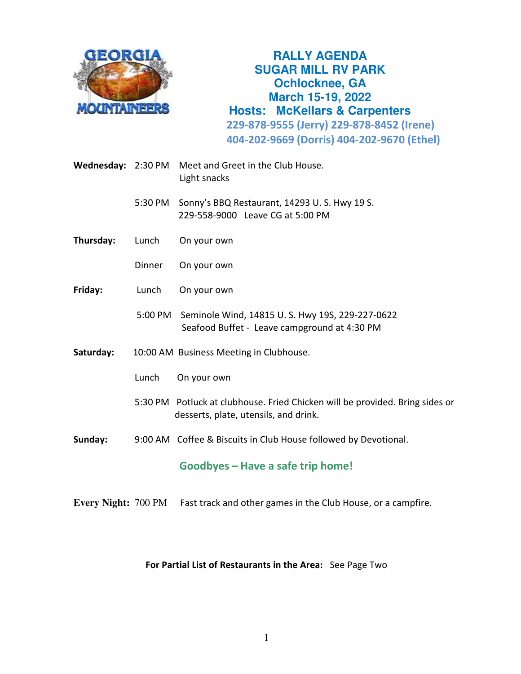

**RALLY AGENDA SUGAR MILL RV PARK Ochlocknee, GA March 15-19, 2022 Hosts: McKellars & Carpenters 229-878-9555 (Jerry) 229-878-8452 (Irene) 404-202-9669 (Dorris) 404-202-9670 (Ethel)**

**Wednesday:** 2:30 PM Meet and Greet in the Club House. Light snacks

> 5:30 PM Sonny's BBQ Restaurant, 14293 U. S. Hwy 19 S. 229-558-9000 Leave CG at 5:00 PM

- **Thursday:** Lunch On your own
	- Dinner On your own
- **Friday:** Lunch On your own
	- 5:00 PM Seminole Wind, 14815 U. S. Hwy 19S, 229-227-0622 Seafood Buffet - Leave campground at 4:30 PM
- **Saturday:** 10:00 AM Business Meeting in Clubhouse.
	- Lunch On your own
	- 5:30 PM Potluck at clubhouse. Fried Chicken will be provided. Bring sides or desserts, plate, utensils, and drink.
- **Sunday:** 9:00 AM Coffee & Biscuits in Club House followed by Devotional.

**Goodbyes – Have a safe trip home!**

**Every Night:** 700 PM Fast track and other games in the Club House, or a campfire.

## **For Partial List of Restaurants in the Area:** See Page Two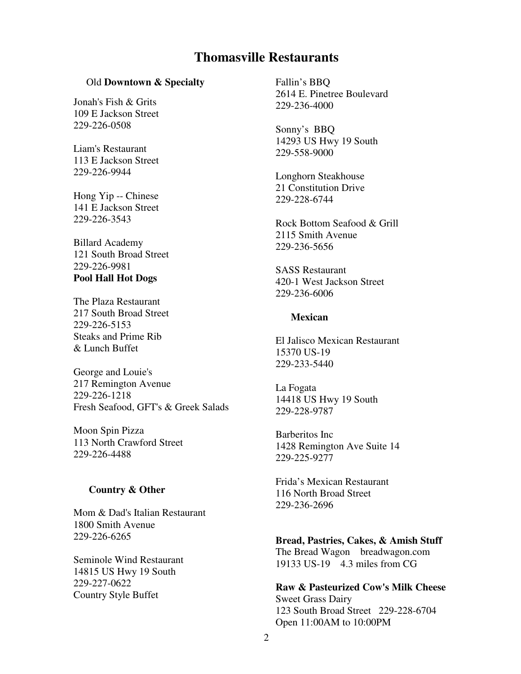# **Thomasville Restaurants**

#### Old **Downtown & Specialty**

Jonah's Fish & Grits 109 E Jackson Street 229-226-0508

Liam's Restaurant 113 E Jackson Street 229-226-9944

Hong Yip -- Chinese 141 E Jackson Street 229-226-3543

Billard Academy 121 South Broad Street 229-226-9981 **Pool Hall Hot Dogs** 

The Plaza Restaurant 217 South Broad Street 229-226-5153 Steaks and Prime Rib & Lunch Buffet

George and Louie's 217 Remington Avenue 229-226-1218 Fresh Seafood, GFT's & Greek Salads

Moon Spin Pizza 113 North Crawford Street 229-226-4488

#### **Country & Other**

Mom & Dad's Italian Restaurant 1800 Smith Avenue 229-226-6265

Seminole Wind Restaurant 14815 US Hwy 19 South 229-227-0622 Country Style Buffet

Fallin's BBQ 2614 E. Pinetree Boulevard 229-236-4000

Sonny's BBQ 14293 US Hwy 19 South 229-558-9000

Longhorn Steakhouse 21 Constitution Drive 229-228-6744

Rock Bottom Seafood & Grill 2115 Smith Avenue 229-236-5656

SASS Restaurant 420-1 West Jackson Street 229-236-6006

#### **Mexican**

El Jalisco Mexican Restaurant 15370 US-19 229-233-5440

La Fogata 14418 US Hwy 19 South 229-228-9787

Barberitos Inc 1428 Remington Ave Suite 14 229-225-9277

Frida's Mexican Restaurant 116 North Broad Street 229-236-2696

**Bread, Pastries, Cakes, & Amish Stuff**  The Bread Wagon breadwagon.com 19133 US-19 4.3 miles from CG

**Raw & Pasteurized Cow's Milk Cheese**  Sweet Grass Dairy 123 South Broad Street 229-228-6704 Open 11:00AM to 10:00PM